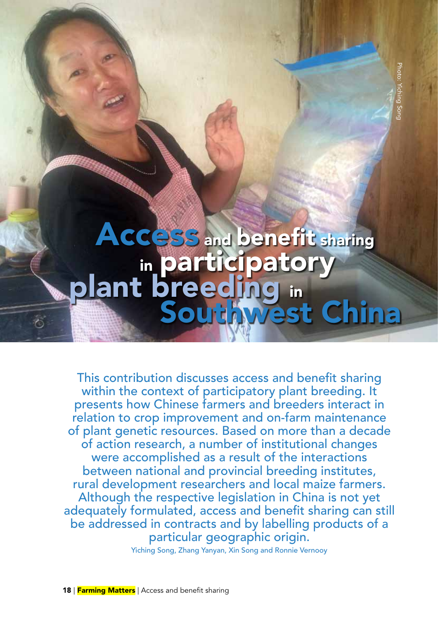# ACCESS and benefit sharing in participatory<br>plant breeding in **Southwest China**<br>Participatory<br>Participatory<br>Preeding in<br>Southwest China

This contribution discusses access and benefit sharing within the context of participatory plant breeding. It presents how Chinese farmers and breeders interact in relation to crop improvement and on-farm maintenance of plant genetic resources. Based on more than a decade of action research, a number of institutional changes were accomplished as a result of the interactions between national and provincial breeding institutes, rural development researchers and local maize farmers. Although the respective legislation in China is not yet adequately formulated, access and benefit sharing can still be addressed in contracts and by labelling products of a particular geographic origin.

Yiching Song, Zhang Yanyan, Xin Song and Ronnie Vernooy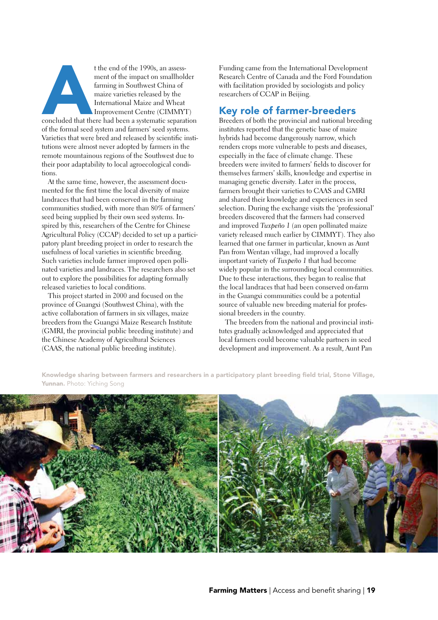t the end of the 1990s, an assessment of the impact on smallholder<br>farming in Southwest China of<br>maize varieties released by the<br>International Maize and Wheat<br>Improvement Centre (CIMMYT)<br>concluded that there had been a sys ment of the impact on smallholder farming in Southwest China of maize varieties released by the International Maize and Wheat Improvement Centre (CIMMYT)

of the formal seed system and farmers' seed systems. Varieties that were bred and released by scientific institutions were almost never adopted by farmers in the remote mountainous regions of the Southwest due to their poor adaptability to local agroecological conditions.

At the same time, however, the assessment documented for the first time the local diversity of maize landraces that had been conserved in the farming communities studied, with more than 80% of farmers' seed being supplied by their own seed systems. Inspired by this, researchers of the Centre for Chinese Agricultural Policy (CCAP) decided to set up a participatory plant breeding project in order to research the usefulness of local varieties in scientific breeding. Such varieties include farmer improved open pollinated varieties and landraces. The researchers also set out to explore the possibilities for adapting formally released varieties to local conditions.

This project started in 2000 and focused on the province of Guangxi (Southwest China), with the active collaboration of farmers in six villages, maize breeders from the Guangxi Maize Research Institute (GMRI, the provincial public breeding institute) and the Chinese Academy of Agricultural Sciences (CAAS, the national public breeding institute).

Funding came from the International Development Research Centre of Canada and the Ford Foundation with facilitation provided by sociologists and policy researchers of CCAP in Beijing.

## Key role of farmer-breeders

Breeders of both the provincial and national breeding institutes reported that the genetic base of maize hybrids had become dangerously narrow, which renders crops more vulnerable to pests and diseases, especially in the face of climate change. These breeders were invited to farmers' fields to discover for themselves farmers' skills, knowledge and expertise in managing genetic diversity. Later in the process, farmers brought their varieties to CAAS and GMRI and shared their knowledge and experiences in seed selection. During the exchange visits the 'professional' breeders discovered that the farmers had conserved and improved *Tuxpeño 1* (an open pollinated maize variety released much earlier by CIMMYT). They also learned that one farmer in particular, known as Aunt Pan from Wentan village, had improved a locally important variety of *Tuxpeño 1* that had become widely popular in the surrounding local communities. Due to these interactions, they began to realise that the local landraces that had been conserved on-farm in the Guangxi communities could be a potential source of valuable new breeding material for professional breeders in the country.

The breeders from the national and provincial institutes gradually acknowledged and appreciated that local farmers could become valuable partners in seed development and improvement. As a result, Aunt Pan

Knowledge sharing between farmers and researchers in a participatory plant breeding field trial, Stone Village, Yunnan. Photo: Yiching Song

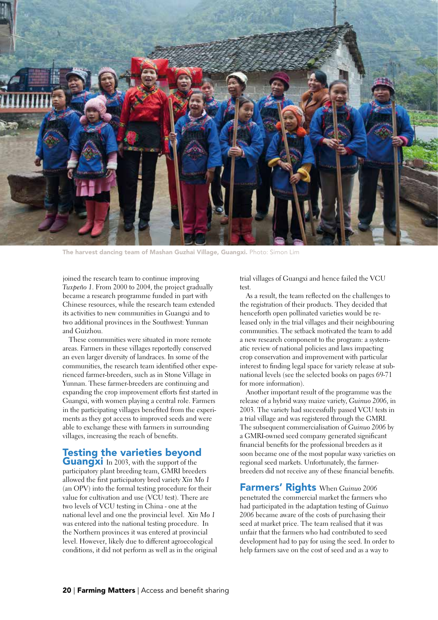

The harvest dancing team of Mashan Guzhai Village, Guangxi. Photo: Simon Lim

joined the research team to continue improving *Tuxpeño 1*. From 2000 to 2004, the project gradually became a research programme funded in part with Chinese resources, while the research team extended its activities to new communities in Guangxi and to two additional provinces in the Southwest: Yunnan and Guizhou.

These communities were situated in more remote areas. Farmers in these villages reportedly conserved an even larger diversity of landraces. In some of the communities, the research team identified other experienced farmer-breeders, such as in Stone Village in Yunnan. These farmer-breeders are continuing and expanding the crop improvement efforts first started in Guangxi, with women playing a central role. Farmers in the participating villages benefited from the experiments as they got access to improved seeds and were able to exchange these with farmers in surrounding villages, increasing the reach of benefits.

# Testing the varieties beyond

**Guangxi** In 2003, with the support of the participatory plant breeding team, GMRI breeders allowed the first participatory bred variety *Xin Mo 1* (an OPV) into the formal testing procedure for their value for cultivation and use (VCU test). There are two levels of VCU testing in China - one at the national level and one the provincial level. *Xin Mo 1*  was entered into the national testing procedure. In the Northern provinces it was entered at provincial level. However, likely due to different agroecological conditions, it did not perform as well as in the original trial villages of Guangxi and hence failed the VCU test.

As a result, the team reflected on the challenges to the registration of their products. They decided that henceforth open pollinated varieties would be released only in the trial villages and their neighbouring communities. The setback motivated the team to add a new research component to the program: a systematic review of national policies and laws impacting crop conservation and improvement with particular interest to finding legal space for variety release at subnational levels (see the selected books on pages 69-71 for more information).

Another important result of the programme was the release of a hybrid waxy maize variety, *Guinuo 2006*, in 2003*.* The variety had successfully passed VCU tests in a trial village and was registered through the GMRI. The subsequent commercialisation of *Guinuo 2006* by a GMRI-owned seed company generated significant financial benefits for the professional breeders as it soon became one of the most popular waxy varieties on regional seed markets. Unfortunately, the farmerbreeders did not receive any of these financial benefits.

Farmers' Rights When *Guinuo 2006* penetrated the commercial market the farmers who had participated in the adaptation testing of *Guinuo 2006* became aware of the costs of purchasing their seed at market price. The team realised that it was unfair that the farmers who had contributed to seed development had to pay for using the seed. In order to help farmers save on the cost of seed and as a way to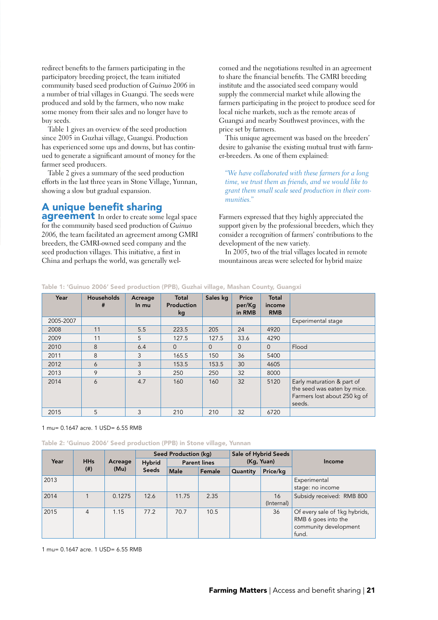redirect benefits to the farmers participating in the participatory breeding project, the team initiated community based seed production of *Guinuo 2006* in a number of trial villages in Guangxi. The seeds were produced and sold by the farmers, who now make some money from their sales and no longer have to buy seeds.

Table 1 gives an overview of the seed production since 2005 in Guzhai village, Guangxi. Production has experienced some ups and downs, but has continued to generate a significant amount of money for the farmer seed producers.

Table 2 gives a summary of the seed production efforts in the last three years in Stone Village, Yunnan, showing a slow but gradual expansion.

# A unique benefit sharing

**agreement** In order to create some legal space for the community based seed production of *Guinuo 2006,* the team facilitated an agreement among GMRI breeders, the GMRI-owned seed company and the seed production villages. This initiative, a first in China and perhaps the world, was generally wel-

comed and the negotiations resulted in an agreement to share the financial benefits. The GMRI breeding institute and the associated seed company would supply the commercial market while allowing the farmers participating in the project to produce seed for local niche markets, such as the remote areas of Guangxi and nearby Southwest provinces, with the price set by farmers.

This unique agreement was based on the breeders' desire to galvanise the existing mutual trust with farmer-breeders. As one of them explained:

"*We have collaborated with these farmers for a long time, we trust them as friends, and we would like to grant them small scale seed production in their communities."* 

Farmers expressed that they highly appreciated the support given by the professional breeders, which they consider a recognition of farmers' contributions to the development of the new variety.

In 2005, two of the trial villages located in remote mountainous areas were selected for hybrid maize

| Year      | <b>Households</b><br># | Acreage<br>In mu | Total<br>Production<br>kg | Sales kg | Price<br>per/Kg<br>in RMB | Total<br>income<br><b>RMB</b> |                                                                                                     |
|-----------|------------------------|------------------|---------------------------|----------|---------------------------|-------------------------------|-----------------------------------------------------------------------------------------------------|
| 2005-2007 |                        |                  |                           |          |                           |                               | Experimental stage                                                                                  |
| 2008      | 11                     | 5.5              | 223.5                     | 205      | 24                        | 4920                          |                                                                                                     |
| 2009      | 11                     | 5                | 127.5                     | 127.5    | 33.6                      | 4290                          |                                                                                                     |
| 2010      | 8                      | 6.4              | $\Omega$                  | $\Omega$ | $\overline{0}$            | $\Omega$                      | Flood                                                                                               |
| 2011      | 8                      | 3                | 165.5                     | 150      | 36                        | 5400                          |                                                                                                     |
| 2012      | 6                      | 3                | 153.5                     | 153.5    | 30                        | 4605                          |                                                                                                     |
| 2013      | 9                      | 3                | 250                       | 250      | 32                        | 8000                          |                                                                                                     |
| 2014      | 6                      | 4.7              | 160                       | 160      | 32                        | 5120                          | Early maturation & part of<br>the seed was eaten by mice.<br>Farmers lost about 250 kg of<br>seeds. |
| 2015      | 5                      | 3                | 210                       | 210      | 32                        | 6720                          |                                                                                                     |

Table 1: 'Guinuo 2006' Seed production (PPB), Guzhai village, Mashan County, Guangxi

1 mu= 0.1647 acre. 1 USD= 6.55 RMB

Table 2: 'Guinuo 2006' Seed production (PPB) in Stone village, Yunnan

| Year | <b>HHs</b><br>$($ # $)$ | Acreage<br>(Mu) | <b>Seed Production (kg)</b>   |                     |        | Sale of Hybrid Seeds |                  |                                                                                        |
|------|-------------------------|-----------------|-------------------------------|---------------------|--------|----------------------|------------------|----------------------------------------------------------------------------------------|
|      |                         |                 | <b>Hybrid</b><br><b>Seeds</b> | <b>Parent lines</b> |        | (Kg, Yuan)           |                  | Income                                                                                 |
|      |                         |                 |                               | Male                | Female | Quantity             | Price/kg         |                                                                                        |
| 2013 |                         |                 |                               |                     |        |                      |                  | Experimental<br>stage: no income                                                       |
| 2014 |                         | 0.1275          | 12.6                          | 11.75               | 2.35   |                      | 16<br>(Internal) | Subsidy received: RMB 800                                                              |
| 2015 | $\overline{4}$          | 1.15            | 77.2                          | 70.7                | 10.5   |                      | 36               | Of every sale of 1kg hybrids,<br>RMB 6 goes into the<br>community development<br>fund. |

1 mu= 0.1647 acre. 1 USD= 6.55 RMB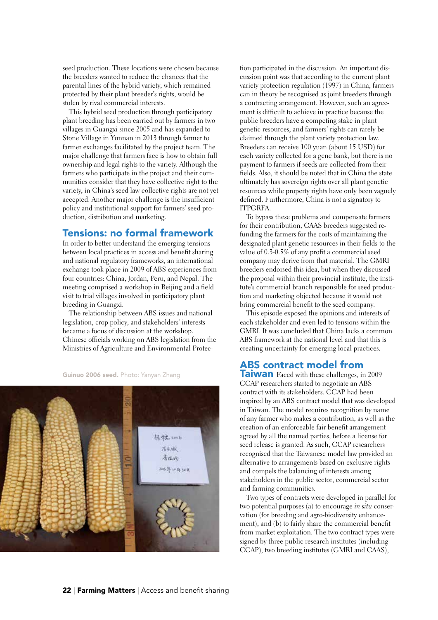seed production. These locations were chosen because the breeders wanted to reduce the chances that the parental lines of the hybrid variety, which remained protected by their plant breeder's rights, would be stolen by rival commercial interests.

This hybrid seed production through participatory plant breeding has been carried out by farmers in two villages in Guangxi since 2005 and has expanded to Stone Village in Yunnan in 2013 through farmer to farmer exchanges facilitated by the project team. The major challenge that farmers face is how to obtain full ownership and legal rights to the variety. Although the farmers who participate in the project and their communities consider that they have collective right to the variety, in China's seed law collective rights are not yet accepted. Another major challenge is the insufficient policy and institutional support for farmers' seed production, distribution and marketing.

### Tensions: no formal framework

In order to better understand the emerging tensions between local practices in access and benefit sharing and national regulatory frameworks, an international exchange took place in 2009 of ABS experiences from four countries: China, Jordan, Peru, and Nepal. The meeting comprised a workshop in Beijing and a field visit to trial villages involved in participatory plant breeding in Guangxi.

The relationship between ABS issues and national legislation, crop policy, and stakeholders' interests became a focus of discussion at the workshop. Chinese officials working on ABS legislation from the Ministries of Agriculture and Environmental Protec-

Guinuo 2006 seed. Photo: Yanyan Zhang



tion participated in the discussion. An important discussion point was that according to the current plant variety protection regulation (1997) in China, farmers can in theory be recognised as joint breeders through a contracting arrangement. However, such an agreement is difficult to achieve in practice because the public breeders have a competing stake in plant genetic resources, and farmers' rights can rarely be claimed through the plant variety protection law. Breeders can receive 100 yuan (about 15 USD) for each variety collected for a gene bank, but there is no payment to farmers if seeds are collected from their fields. Also, it should be noted that in China the state ultimately has sovereign rights over all plant genetic resources while property rights have only been vaguely defined. Furthermore, China is not a signatory to ITPGRFA.

To bypass these problems and compensate farmers for their contribution, CAAS breeders suggested refunding the farmers for the costs of maintaining the designated plant genetic resources in their fields to the value of 0.3-0.5% of any profit a commercial seed company may derive from that material. The GMRI breeders endorsed this idea, but when they discussed the proposal within their provincial institute, the institute's commercial branch responsible for seed production and marketing objected because it would not bring commercial benefit to the seed company.

This episode exposed the opinions and interests of each stakeholder and even led to tensions within the GMRI. It was concluded that China lacks a common ABS framework at the national level and that this is creating uncertainty for emerging local practices.

### ABS contract model from

**Taiwan** Faced with these challenges, in 2009 CCAP researchers started to negotiate an ABS contract with its stakeholders. CCAP had been inspired by an ABS contract model that was developed in Taiwan. The model requires recognition by name of any farmer who makes a contribution, as well as the creation of an enforceable fair benefit arrangement agreed by all the named parties, before a license for seed release is granted. As such, CCAP researchers recognised that the Taiwanese model law provided an alternative to arrangements based on exclusive rights and compels the balancing of interests among stakeholders in the public sector, commercial sector and farming communities.

Two types of contracts were developed in parallel for two potential purposes (a) to encourage *in situ* conservation (for breeding and agro-biodiversity enhancement), and (b) to fairly share the commercial benefit from market exploitation. The two contract types were signed by three public research institutes (including CCAP), two breeding institutes (GMRI and CAAS),